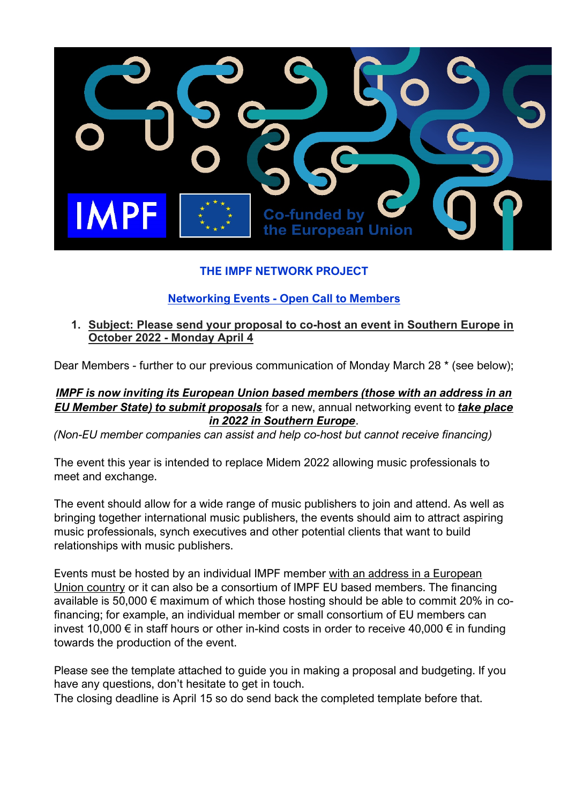

# **THE IMPF NETWORK PROJECT**

# **Networking Events - Open Call to Members**

## **1. Subject: Please send your proposal to co-host an event in Southern Europe in October 2022 - Monday April 4**

Dear Members - further to our previous communication of Monday March 28 \* (see below);

## *IMPF is now inviting its European Union based members (those with an address in an EU Member State) to submit proposals* for a new, annual networking event to *take place in 2022 in Southern Europe*.

*(Non-EU member companies can assist and help co-host but cannot receive financing)*

The event this year is intended to replace Midem 2022 allowing music professionals to meet and exchange.

The event should allow for a wide range of music publishers to join and attend. As well as bringing together international music publishers, the events should aim to attract aspiring music professionals, synch executives and other potential clients that want to build relationships with music publishers.

Events must be hosted by an individual IMPF member with an address in a European Union country or it can also be a consortium of IMPF EU based members. The financing available is 50,000 € maximum of which those hosting should be able to commit 20% in cofinancing; for example, an individual member or small consortium of EU members can invest 10,000 € in staff hours or other in-kind costs in order to receive 40,000 € in funding towards the production of the event.

Please see the template attached to guide you in making a proposal and budgeting. If you have any questions, don't hesitate to get in touch.

The closing deadline is April 15 so do send back the completed template before that.